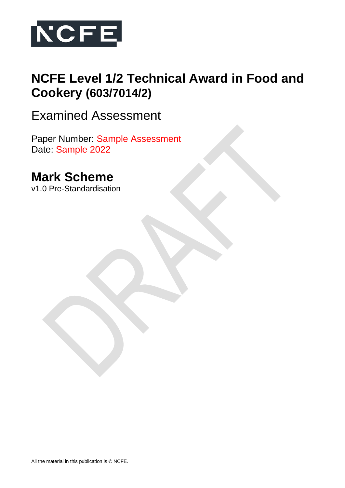

# **NCFE Level 1/2 Technical Award in Food and Cookery (603/7014/2)**

Examined Assessment

Paper Number: Sample Assessment Date: Sample 2022

# **Mark Scheme**

v1.0 Pre-Standardisation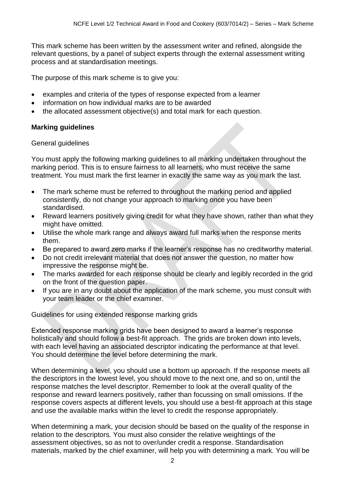This mark scheme has been written by the assessment writer and refined, alongside the relevant questions, by a panel of subject experts through the external assessment writing process and at standardisation meetings.

The purpose of this mark scheme is to give you:

- examples and criteria of the types of response expected from a learner
- information on how individual marks are to be awarded
- the allocated assessment objective(s) and total mark for each question.

## **Marking guidelines**

### General guidelines

You must apply the following marking guidelines to all marking undertaken throughout the marking period. This is to ensure fairness to all learners, who must receive the same treatment. You must mark the first learner in exactly the same way as you mark the last.

- The mark scheme must be referred to throughout the marking period and applied consistently, do not change your approach to marking once you have been standardised.
- Reward learners positively giving credit for what they have shown, rather than what they might have omitted.
- Utilise the whole mark range and always award full marks when the response merits them.
- Be prepared to award zero marks if the learner's response has no creditworthy material.
- Do not credit irrelevant material that does not answer the question, no matter how impressive the response might be.
- The marks awarded for each response should be clearly and legibly recorded in the grid on the front of the question paper.
- If you are in any doubt about the application of the mark scheme, you must consult with your team leader or the chief examiner.

Guidelines for using extended response marking grids

Extended response marking grids have been designed to award a learner's response holistically and should follow a best-fit approach. The grids are broken down into levels, with each level having an associated descriptor indicating the performance at that level. You should determine the level before determining the mark.

When determining a level, you should use a bottom up approach. If the response meets all the descriptors in the lowest level, you should move to the next one, and so on, until the response matches the level descriptor. Remember to look at the overall quality of the response and reward learners positively, rather than focussing on small omissions. If the response covers aspects at different levels, you should use a best-fit approach at this stage and use the available marks within the level to credit the response appropriately.

When determining a mark, your decision should be based on the quality of the response in relation to the descriptors. You must also consider the relative weightings of the assessment objectives, so as not to over/under credit a response. Standardisation materials, marked by the chief examiner, will help you with determining a mark. You will be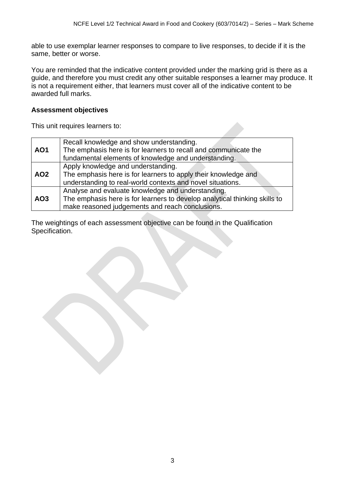able to use exemplar learner responses to compare to live responses, to decide if it is the same, better or worse.

You are reminded that the indicative content provided under the marking grid is there as a guide, and therefore you must credit any other suitable responses a learner may produce. It is not a requirement either, that learners must cover all of the indicative content to be awarded full marks.

## **Assessment objectives**

This unit requires learners to:

|                 | Recall knowledge and show understanding.                                   |
|-----------------|----------------------------------------------------------------------------|
| <b>AO1</b>      | The emphasis here is for learners to recall and communicate the            |
|                 | fundamental elements of knowledge and understanding.                       |
|                 | Apply knowledge and understanding.                                         |
| <b>AO2</b>      | The emphasis here is for learners to apply their knowledge and             |
|                 | understanding to real-world contexts and novel situations.                 |
|                 | Analyse and evaluate knowledge and understanding.                          |
| AO <sub>3</sub> | The emphasis here is for learners to develop analytical thinking skills to |
|                 | make reasoned judgements and reach conclusions.                            |

The weightings of each assessment objective can be found in the Qualification Specification.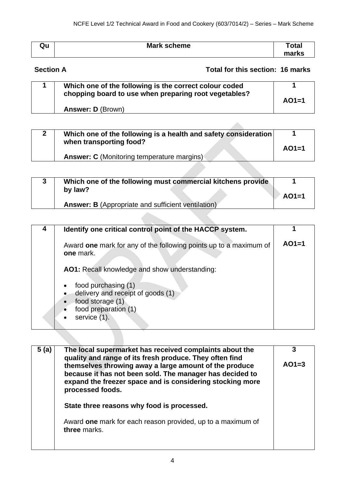| Qu | <b>Mark scheme</b> | Total |
|----|--------------------|-------|
|    |                    | marks |

# **Section A Total for this section: 16 marks**

| Which one of the following is the correct colour coded<br>chopping board to use when preparing root vegetables? |         |
|-----------------------------------------------------------------------------------------------------------------|---------|
| <b>Answer: D (Brown)</b>                                                                                        | $AO1=1$ |

|  | Which one of the following is a health and safety consideration<br>when transporting food? | $AO1=1$ |
|--|--------------------------------------------------------------------------------------------|---------|
|  | <b>Answer: C</b> (Monitoring temperature margins)                                          |         |

| Which one of the following must commercial kitchens provide |         |
|-------------------------------------------------------------|---------|
| by law?                                                     | $AO1=1$ |
| <b>Answer: B</b> (Appropriate and sufficient ventilation)   |         |

| Identify one critical control point of the HACCP system.                                                             |         |
|----------------------------------------------------------------------------------------------------------------------|---------|
| Award one mark for any of the following points up to a maximum of<br>one mark.                                       | $AO1=1$ |
| AO1: Recall knowledge and show understanding:                                                                        |         |
| food purchasing (1)<br>delivery and receipt of goods (1)<br>food storage (1)<br>food preparation (1)<br>service (1). |         |

| 5 (a) | The local supermarket has received complaints about the<br>quality and range of its fresh produce. They often find<br>themselves throwing away a large amount of the produce | 3<br>$AO1=3$ |
|-------|------------------------------------------------------------------------------------------------------------------------------------------------------------------------------|--------------|
|       | because it has not been sold. The manager has decided to<br>expand the freezer space and is considering stocking more<br>processed foods.                                    |              |
|       | State three reasons why food is processed.                                                                                                                                   |              |
|       | Award one mark for each reason provided, up to a maximum of<br>three marks.                                                                                                  |              |
|       |                                                                                                                                                                              |              |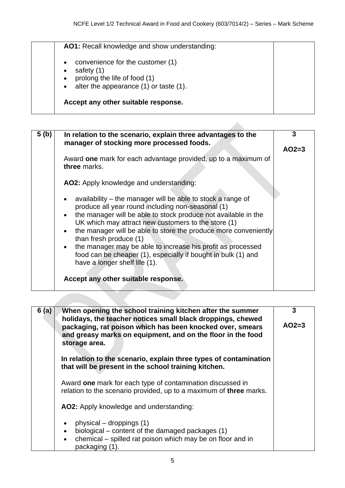| $\bullet$ | convenience for the customer (1)       |
|-----------|----------------------------------------|
| $\bullet$ | safety (1)                             |
| $\bullet$ | prolong the life of food (1)           |
| $\bullet$ | alter the appearance (1) or taste (1). |

| 5 (b) | In relation to the scenario, explain three advantages to the<br>manager of stocking more processed foods.                                                                                                                                                                                                                                                                                                                                                                | 3       |
|-------|--------------------------------------------------------------------------------------------------------------------------------------------------------------------------------------------------------------------------------------------------------------------------------------------------------------------------------------------------------------------------------------------------------------------------------------------------------------------------|---------|
|       | Award one mark for each advantage provided, up to a maximum of<br>three marks.                                                                                                                                                                                                                                                                                                                                                                                           | $AO2=3$ |
|       | AO2: Apply knowledge and understanding:                                                                                                                                                                                                                                                                                                                                                                                                                                  |         |
|       | availability – the manager will be able to stock a range of<br>produce all year round including non-seasonal (1)<br>the manager will be able to stock produce not available in the<br>UK which may attract new customers to the store (1)<br>the manager will be able to store the produce more conveniently<br>than fresh produce (1)<br>• the manager may be able to increase his profit as processed<br>food can be cheaper (1), especially if bought in bulk (1) and |         |
|       | have a longer shelf life (1).<br>Accept any other suitable response.                                                                                                                                                                                                                                                                                                                                                                                                     |         |

| 6(a) | When opening the school training kitchen after the summer<br>holidays, the teacher notices small black droppings, chewed<br>packaging, rat poison which has been knocked over, smears | 3<br>$AO2=3$ |
|------|---------------------------------------------------------------------------------------------------------------------------------------------------------------------------------------|--------------|
|      | and greasy marks on equipment, and on the floor in the food<br>storage area.                                                                                                          |              |
|      | In relation to the scenario, explain three types of contamination<br>that will be present in the school training kitchen.                                                             |              |
|      | Award one mark for each type of contamination discussed in<br>relation to the scenario provided, up to a maximum of three marks.                                                      |              |
|      | AO2: Apply knowledge and understanding:                                                                                                                                               |              |
|      | physical – droppings $(1)$<br>$\bullet$                                                                                                                                               |              |
|      | biological – content of the damaged packages (1)<br>$\bullet$                                                                                                                         |              |
|      | chemical – spilled rat poison which may be on floor and in<br>$\bullet$<br>packaging (1).                                                                                             |              |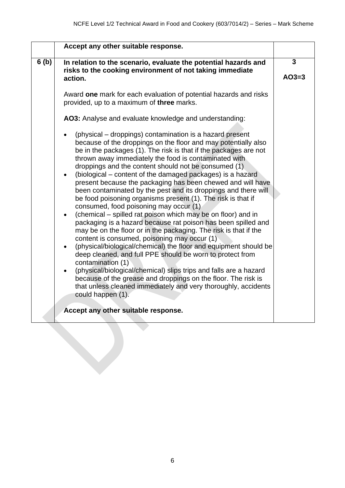|      | Accept any other suitable response.                                                                                                                                                                                                                                                                                                                                                                                                                                                                                                                                                                                                                                                                                                                                                                                                                                                                                                                                                                                                   |                         |
|------|---------------------------------------------------------------------------------------------------------------------------------------------------------------------------------------------------------------------------------------------------------------------------------------------------------------------------------------------------------------------------------------------------------------------------------------------------------------------------------------------------------------------------------------------------------------------------------------------------------------------------------------------------------------------------------------------------------------------------------------------------------------------------------------------------------------------------------------------------------------------------------------------------------------------------------------------------------------------------------------------------------------------------------------|-------------------------|
| 6(b) | In relation to the scenario, evaluate the potential hazards and<br>risks to the cooking environment of not taking immediate<br>action.                                                                                                                                                                                                                                                                                                                                                                                                                                                                                                                                                                                                                                                                                                                                                                                                                                                                                                | $\mathbf{3}$<br>$AO3=3$ |
|      | Award one mark for each evaluation of potential hazards and risks<br>provided, up to a maximum of three marks.                                                                                                                                                                                                                                                                                                                                                                                                                                                                                                                                                                                                                                                                                                                                                                                                                                                                                                                        |                         |
|      | AO3: Analyse and evaluate knowledge and understanding:<br>(physical – droppings) contamination is a hazard present<br>because of the droppings on the floor and may potentially also<br>be in the packages (1). The risk is that if the packages are not<br>thrown away immediately the food is contaminated with<br>droppings and the content should not be consumed (1)<br>(biological – content of the damaged packages) is a hazard<br>present because the packaging has been chewed and will have<br>been contaminated by the pest and its droppings and there will<br>be food poisoning organisms present (1). The risk is that if<br>consumed, food poisoning may occur (1)<br>(chemical – spilled rat poison which may be on floor) and in<br>$\bullet$<br>packaging is a hazard because rat poison has been spilled and<br>may be on the floor or in the packaging. The risk is that if the<br>content is consumed, poisoning may occur (1)<br>(physical/biological/chemical) the floor and equipment should be<br>$\bullet$ |                         |
|      | deep cleaned, and full PPE should be worn to protect from<br>contamination (1)<br>(physical/biological/chemical) slips trips and falls are a hazard<br>because of the grease and droppings on the floor. The risk is<br>that unless cleaned immediately and very thoroughly, accidents<br>could happen (1).                                                                                                                                                                                                                                                                                                                                                                                                                                                                                                                                                                                                                                                                                                                           |                         |
|      | Accept any other suitable response.                                                                                                                                                                                                                                                                                                                                                                                                                                                                                                                                                                                                                                                                                                                                                                                                                                                                                                                                                                                                   |                         |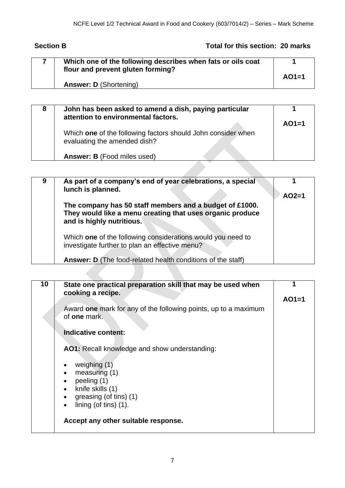# **Section B Total for this section: 20 marks**

| Which one of the following describes when fats or oils coat<br>flour and prevent gluten forming? | $AO1=1$ |
|--------------------------------------------------------------------------------------------------|---------|
| <b>Answer: D (Shortening)</b>                                                                    |         |

| 8 | John has been asked to amend a dish, paying particular<br>attention to environmental factors. |         |
|---|-----------------------------------------------------------------------------------------------|---------|
|   |                                                                                               | $AO1=1$ |
|   | Which one of the following factors should John consider when<br>evaluating the amended dish?  |         |
|   | <b>Answer: B</b> (Food miles used)                                                            |         |
|   |                                                                                               |         |

| 9 | As part of a company's end of year celebrations, a special<br>lunch is planned.                                                                   | $AO2=1$ |
|---|---------------------------------------------------------------------------------------------------------------------------------------------------|---------|
|   | The company has 50 staff members and a budget of £1000.<br>They would like a menu creating that uses organic produce<br>and is highly nutritious. |         |
|   | Which one of the following considerations would you need to<br>investigate further to plan an effective menu?                                     |         |
|   | <b>Answer: D</b> (The food-related health conditions of the staff)                                                                                |         |
|   |                                                                                                                                                   |         |

| 10 | State one practical preparation skill that may be used when<br>cooking a recipe.       |         |
|----|----------------------------------------------------------------------------------------|---------|
|    |                                                                                        | $AO1=1$ |
|    | Award one mark for any of the following points, up to a maximum<br>of <b>one</b> mark. |         |
|    | Indicative content:                                                                    |         |
|    | <b>AO1:</b> Recall knowledge and show understanding:                                   |         |
|    | weighing $(1)$                                                                         |         |
|    | measuring (1)<br>$\bullet$                                                             |         |
|    | peeling (1)                                                                            |         |
|    | knife skills (1)<br>$\bullet$                                                          |         |
|    | greasing (of tins) (1)                                                                 |         |
|    | lining (of tins) $(1)$ .                                                               |         |
|    | Accept any other suitable response.                                                    |         |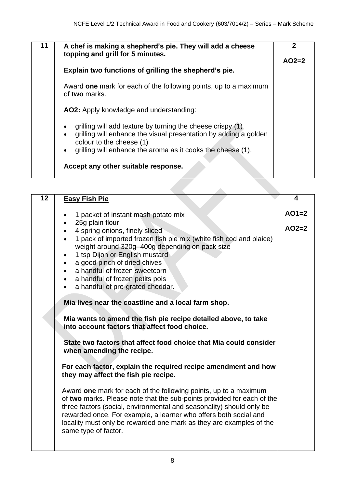Â

| 11 | A chef is making a shepherd's pie. They will add a cheese<br>topping and grill for 5 minutes.                                                                                                                                                                    |         |
|----|------------------------------------------------------------------------------------------------------------------------------------------------------------------------------------------------------------------------------------------------------------------|---------|
|    |                                                                                                                                                                                                                                                                  | $AO2=2$ |
|    | Explain two functions of grilling the shepherd's pie.                                                                                                                                                                                                            |         |
|    | Award one mark for each of the following points, up to a maximum<br>of two marks.                                                                                                                                                                                |         |
|    | <b>AO2:</b> Apply knowledge and understanding:                                                                                                                                                                                                                   |         |
|    | grilling will add texture by turning the cheese crispy (1)<br>$\bullet$<br>grilling will enhance the visual presentation by adding a golden<br>$\bullet$<br>colour to the cheese (1)<br>grilling will enhance the aroma as it cooks the cheese (1).<br>$\bullet$ |         |
|    | Accept any other suitable response.                                                                                                                                                                                                                              |         |

| $\overline{12}$ | <b>Easy Fish Pie</b>                                                                                                                                                                                                                                                                                                                                                                                                                                                                                                                                                                                                                                                                | 4                  |
|-----------------|-------------------------------------------------------------------------------------------------------------------------------------------------------------------------------------------------------------------------------------------------------------------------------------------------------------------------------------------------------------------------------------------------------------------------------------------------------------------------------------------------------------------------------------------------------------------------------------------------------------------------------------------------------------------------------------|--------------------|
|                 | 1 packet of instant mash potato mix<br>25g plain flour<br>4 spring onions, finely sliced<br>1 pack of imported frozen fish pie mix (white fish cod and plaice)<br>weight around 320g-400g depending on pack size<br>1 tsp Dijon or English mustard<br>a good pinch of dried chives<br>a handful of frozen sweetcorn<br>a handful of frozen petits pois<br>a handful of pre-grated cheddar.<br>$\bullet$<br>Mia lives near the coastline and a local farm shop.<br>Mia wants to amend the fish pie recipe detailed above, to take<br>into account factors that affect food choice.<br>State two factors that affect food choice that Mia could consider<br>when amending the recipe. | $AO1=2$<br>$AO2=2$ |
|                 | For each factor, explain the required recipe amendment and how<br>they may affect the fish pie recipe.                                                                                                                                                                                                                                                                                                                                                                                                                                                                                                                                                                              |                    |
|                 | Award one mark for each of the following points, up to a maximum<br>of two marks. Please note that the sub-points provided for each of the<br>three factors (social, environmental and seasonality) should only be<br>rewarded once. For example, a learner who offers both social and<br>locality must only be rewarded one mark as they are examples of the<br>same type of factor.                                                                                                                                                                                                                                                                                               |                    |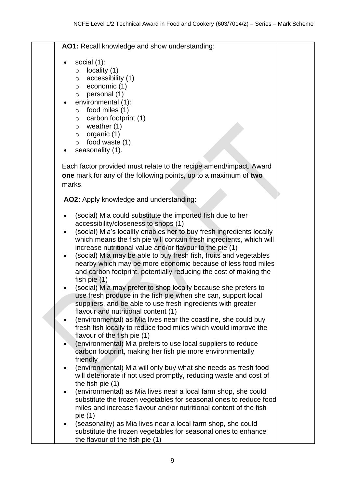**AO1:** Recall knowledge and show understanding:

- social (1):
	- $\circ$  locality (1)
	- o accessibility (1)
	- o economic (1)
	- o personal (1)
- environmental (1):
	- o food miles (1)
	- $\circ$  carbon footprint (1)
	- o weather (1)
	- $\circ$  organic (1)
	- o food waste (1)
- seasonality (1).

Each factor provided must relate to the recipe amend/impact. Award **one** mark for any of the following points, up to a maximum of **two** marks.

**AO2:** Apply knowledge and understanding:

- (social) Mia could substitute the imported fish due to her accessibility/closeness to shops (1)
- (social) Mia's locality enables her to buy fresh ingredients locally which means the fish pie will contain fresh ingredients, which will increase nutritional value and/or flavour to the pie (1)
- (social) Mia may be able to buy fresh fish, fruits and vegetables nearby which may be more economic because of less food miles and carbon footprint, potentially reducing the cost of making the fish pie (1)
- (social) Mia may prefer to shop locally because she prefers to use fresh produce in the fish pie when she can, support local suppliers, and be able to use fresh ingredients with greater flavour and nutritional content (1)
- (environmental) as Mia lives near the coastline, she could buy fresh fish locally to reduce food miles which would improve the flavour of the fish pie (1)
- (environmental) Mia prefers to use local suppliers to reduce carbon footprint, making her fish pie more environmentally friendly
- (environmental) Mia will only buy what she needs as fresh food will deteriorate if not used promptly, reducing waste and cost of the fish pie (1)
- (environmental) as Mia lives near a local farm shop, she could substitute the frozen vegetables for seasonal ones to reduce food miles and increase flavour and/or nutritional content of the fish pie (1)
- (seasonality) as Mia lives near a local farm shop, she could substitute the frozen vegetables for seasonal ones to enhance the flavour of the fish pie (1)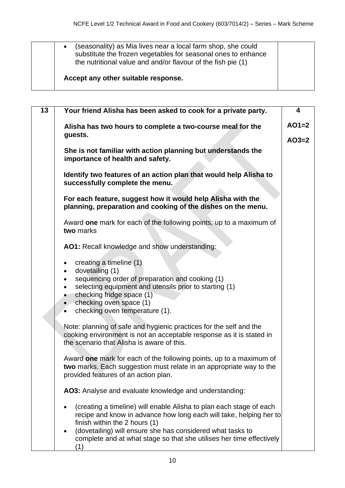| (seasonality) as Mia lives near a local farm shop, she could<br>$\bullet$<br>substitute the frozen vegetables for seasonal ones to enhance<br>the nutritional value and and/or flavour of the fish pie (1) |  |
|------------------------------------------------------------------------------------------------------------------------------------------------------------------------------------------------------------|--|
| Accept any other suitable response.                                                                                                                                                                        |  |

| $\overline{13}$ | Your friend Alisha has been asked to cook for a private party.                                                                                                                                                                                                                                                          | 4       |
|-----------------|-------------------------------------------------------------------------------------------------------------------------------------------------------------------------------------------------------------------------------------------------------------------------------------------------------------------------|---------|
|                 | Alisha has two hours to complete a two-course meal for the<br>guests.                                                                                                                                                                                                                                                   | $AO1=2$ |
|                 |                                                                                                                                                                                                                                                                                                                         | $AO3=2$ |
|                 | She is not familiar with action planning but understands the<br>importance of health and safety.                                                                                                                                                                                                                        |         |
|                 | Identify two features of an action plan that would help Alisha to<br>successfully complete the menu.                                                                                                                                                                                                                    |         |
|                 | For each feature, suggest how it would help Alisha with the<br>planning, preparation and cooking of the dishes on the menu.                                                                                                                                                                                             |         |
|                 | Award one mark for each of the following points, up to a maximum of<br>two marks                                                                                                                                                                                                                                        |         |
|                 | AO1: Recall knowledge and show understanding:                                                                                                                                                                                                                                                                           |         |
|                 | creating a timeline (1)<br>dovetailing (1)<br>$\bullet$<br>sequencing order of preparation and cooking (1)<br>$\bullet$<br>selecting equipment and utensils prior to starting (1)<br>$\bullet$<br>checking fridge space (1)<br>checking oven space (1)<br>$\bullet$<br>checking oven temperature (1).                   |         |
|                 | Note: planning of safe and hygienic practices for the self and the<br>cooking environment is not an acceptable response as it is stated in<br>the scenario that Alisha is aware of this.                                                                                                                                |         |
|                 | Award one mark for each of the following points, up to a maximum of<br>two marks. Each suggestion must relate in an appropriate way to the<br>provided features of an action plan.                                                                                                                                      |         |
|                 | AO3: Analyse and evaluate knowledge and understanding:                                                                                                                                                                                                                                                                  |         |
|                 | (creating a timeline) will enable Alisha to plan each stage of each<br>recipe and know in advance how long each will take, helping her to<br>finish within the 2 hours (1)<br>(dovetailing) will ensure she has considered what tasks to<br>complete and at what stage so that she utilises her time effectively<br>(1) |         |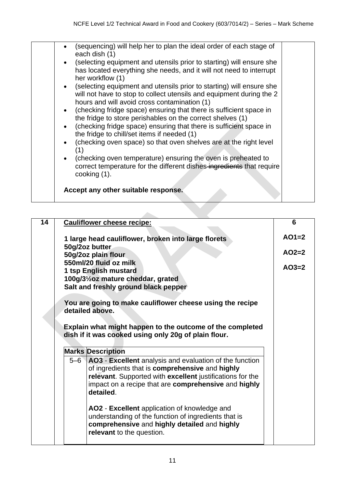| (sequencing) will help her to plan the ideal order of each stage of<br>each dish (1)<br>(selecting equipment and utensils prior to starting) will ensure she<br>$\bullet$<br>has located everything she needs, and it will not need to interrupt<br>her workflow (1)<br>• (selecting equipment and utensils prior to starting) will ensure she<br>will not have to stop to collect utensils and equipment during the 2<br>hours and will avoid cross contamination (1)<br>(checking fridge space) ensuring that there is sufficient space in<br>$\bullet$<br>the fridge to store perishables on the correct shelves (1)<br>(checking fridge space) ensuring that there is sufficient space in<br>$\bullet$<br>the fridge to chill/set items if needed (1)<br>(checking oven space) so that oven shelves are at the right level<br>$\bullet$<br>(1)<br>(checking oven temperature) ensuring the oven is preheated to<br>$\bullet$<br>correct temperature for the different dishes-ingredients that require |
|-----------------------------------------------------------------------------------------------------------------------------------------------------------------------------------------------------------------------------------------------------------------------------------------------------------------------------------------------------------------------------------------------------------------------------------------------------------------------------------------------------------------------------------------------------------------------------------------------------------------------------------------------------------------------------------------------------------------------------------------------------------------------------------------------------------------------------------------------------------------------------------------------------------------------------------------------------------------------------------------------------------|
| cooking (1).<br>Accept any other suitable response.                                                                                                                                                                                                                                                                                                                                                                                                                                                                                                                                                                                                                                                                                                                                                                                                                                                                                                                                                       |

 $\mathcal{L}_{\mathcal{M}}$ 

| <b>Cauliflower cheese recipe:</b>                                                                                                                                                                                                                  | 6       |
|----------------------------------------------------------------------------------------------------------------------------------------------------------------------------------------------------------------------------------------------------|---------|
| 1 large head cauliflower, broken into large florets                                                                                                                                                                                                | $AO1=2$ |
| 50g/2oz butter<br>50g/2oz plain flour                                                                                                                                                                                                              | $AO2=2$ |
| 550ml/20 fluid oz milk<br>1 tsp English mustard                                                                                                                                                                                                    | $AO3=2$ |
| 100g/31/20z mature cheddar, grated<br>Salt and freshly ground black pepper                                                                                                                                                                         |         |
| You are going to make cauliflower cheese using the recipe                                                                                                                                                                                          |         |
| detailed above.                                                                                                                                                                                                                                    |         |
|                                                                                                                                                                                                                                                    |         |
| Explain what might happen to the outcome of the completed<br>dish if it was cooked using only 20g of plain flour.                                                                                                                                  |         |
| <b>Marks Description</b>                                                                                                                                                                                                                           |         |
| 5–6   AO3 - Excellent analysis and evaluation of the function<br>of ingredients that is comprehensive and highly<br>relevant. Supported with excellent justifications for the<br>impact on a recipe that are comprehensive and highly<br>detailed. |         |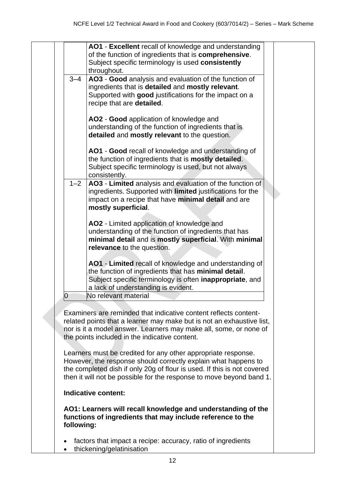|            | AO1 - Excellent recall of knowledge and understanding<br>of the function of ingredients that is comprehensive.                                                                                                                                                                                                                                                                                                                                                                                                                                         |  |
|------------|--------------------------------------------------------------------------------------------------------------------------------------------------------------------------------------------------------------------------------------------------------------------------------------------------------------------------------------------------------------------------------------------------------------------------------------------------------------------------------------------------------------------------------------------------------|--|
|            | Subject specific terminology is used consistently                                                                                                                                                                                                                                                                                                                                                                                                                                                                                                      |  |
|            | throughout.                                                                                                                                                                                                                                                                                                                                                                                                                                                                                                                                            |  |
| $3 - 4$    | AO3 - Good analysis and evaluation of the function of<br>ingredients that is detailed and mostly relevant.<br>Supported with good justifications for the impact on a<br>recipe that are detailed.                                                                                                                                                                                                                                                                                                                                                      |  |
|            | AO2 - Good application of knowledge and<br>understanding of the function of ingredients that is<br>detailed and mostly relevant to the question.                                                                                                                                                                                                                                                                                                                                                                                                       |  |
|            | AO1 - Good recall of knowledge and understanding of<br>the function of ingredients that is mostly detailed.<br>Subject specific terminology is used, but not always<br>consistently.                                                                                                                                                                                                                                                                                                                                                                   |  |
| $1 - 2$    | AO3 - Limited analysis and evaluation of the function of<br>ingredients. Supported with limited justifications for the<br>impact on a recipe that have minimal detail and are<br>mostly superficial.                                                                                                                                                                                                                                                                                                                                                   |  |
|            | AO2 - Limited application of knowledge and<br>understanding of the function of ingredients that has<br>minimal detail and is mostly superficial. With minimal<br>relevance to the question.                                                                                                                                                                                                                                                                                                                                                            |  |
|            | AO1 - Limited recall of knowledge and understanding of<br>the function of ingredients that has minimal detail.<br>Subject specific terminology is often <b>inappropriate</b> , and<br>a lack of understanding is evident.                                                                                                                                                                                                                                                                                                                              |  |
| 0          | No relevant material                                                                                                                                                                                                                                                                                                                                                                                                                                                                                                                                   |  |
|            | Examiners are reminded that indicative content reflects content-<br>related points that a learner may make but is not an exhaustive list,<br>nor is it a model answer. Learners may make all, some, or none of<br>the points included in the indicative content.<br>Learners must be credited for any other appropriate response.<br>However, the response should correctly explain what happens to<br>the completed dish if only 20g of flour is used. If this is not covered<br>then it will not be possible for the response to move beyond band 1. |  |
|            | Indicative content:                                                                                                                                                                                                                                                                                                                                                                                                                                                                                                                                    |  |
| following: | AO1: Learners will recall knowledge and understanding of the<br>functions of ingredients that may include reference to the                                                                                                                                                                                                                                                                                                                                                                                                                             |  |
|            | factors that impact a recipe: accuracy, ratio of ingredients<br>thickening/gelatinisation                                                                                                                                                                                                                                                                                                                                                                                                                                                              |  |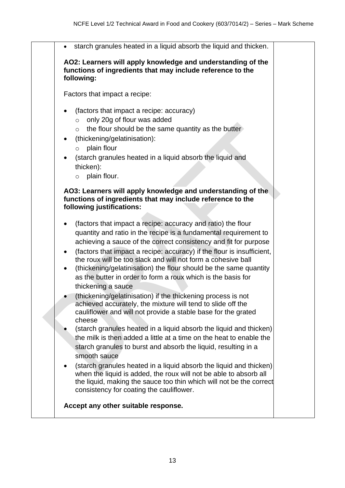• starch granules heated in a liquid absorb the liquid and thicken. **AO2: Learners will apply knowledge and understanding of the functions of ingredients that may include reference to the following:** Factors that impact a recipe: (factors that impact a recipe: accuracy)  $\circ$  only 20g of flour was added  $\circ$  the flour should be the same quantity as the butter • (thickening/gelatinisation): o plain flour • (starch granules heated in a liquid absorb the liquid and thicken): o plain flour. **AO3: Learners will apply knowledge and understanding of the functions of ingredients that may include reference to the following justifications:** • (factors that impact a recipe: accuracy and ratio) the flour quantity and ratio in the recipe is a fundamental requirement to achieving a sauce of the correct consistency and fit for purpose • (factors that impact a recipe: accuracy) if the flour is insufficient, the roux will be too slack and will not form a cohesive ball • (thickening/gelatinisation) the flour should be the same quantity as the butter in order to form a roux which is the basis for thickening a sauce (thickening/gelatinisation) if the thickening process is not achieved accurately, the mixture will tend to slide off the cauliflower and will not provide a stable base for the grated cheese • (starch granules heated in a liquid absorb the liquid and thicken) the milk is then added a little at a time on the heat to enable the starch granules to burst and absorb the liquid, resulting in a smooth sauce • (starch granules heated in a liquid absorb the liquid and thicken) when the liquid is added, the roux will not be able to absorb all the liquid, making the sauce too thin which will not be the correct consistency for coating the cauliflower. **Accept any other suitable response.**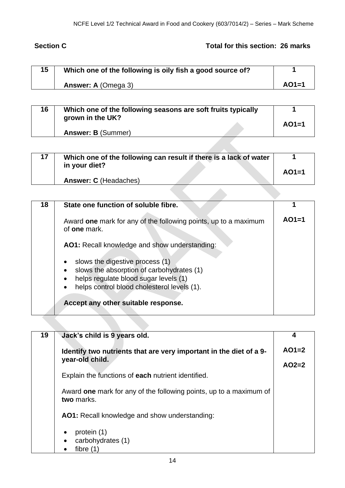# **Section C** Total for this section: 26 marks

| 15 | Which one of the following is oily fish a good source of? |         |
|----|-----------------------------------------------------------|---------|
|    | Answer: A (Omega 3)                                       | $AO1=1$ |

| 16 | Which one of the following seasons are soft fruits typically |         |
|----|--------------------------------------------------------------|---------|
|    | grown in the UK?<br><b>Answer: B (Summer)</b>                | $AO1=1$ |

| 17 | Which one of the following can result if there is a lack of water<br>in your diet? | $AO1=1$ |
|----|------------------------------------------------------------------------------------|---------|
|    | <b>Answer: C</b> (Headaches)                                                       |         |

| 18 | State one function of soluble fibre.                                                                                                                                                                |         |
|----|-----------------------------------------------------------------------------------------------------------------------------------------------------------------------------------------------------|---------|
|    | Award one mark for any of the following points, up to a maximum<br>of <b>one</b> mark.                                                                                                              | $AO1=1$ |
|    | AO1: Recall knowledge and show understanding:                                                                                                                                                       |         |
|    | slows the digestive process (1)<br>٠<br>slows the absorption of carbohydrates (1)<br>helps regulate blood sugar levels (1)<br>$\bullet$<br>helps control blood cholesterol levels (1).<br>$\bullet$ |         |
|    | Accept any other suitable response.                                                                                                                                                                 |         |

| 19 | Jack's child is 9 years old.                                                     | 4       |
|----|----------------------------------------------------------------------------------|---------|
|    | Identify two nutrients that are very important in the diet of a 9-               | $AO1=2$ |
|    | year-old child.                                                                  | $AO2=2$ |
|    | Explain the functions of each nutrient identified.                               |         |
|    | Award one mark for any of the following points, up to a maximum of<br>two marks. |         |
|    | AO1: Recall knowledge and show understanding:                                    |         |
|    | protein (1)<br>$\bullet$                                                         |         |
|    | carbohydrates (1)                                                                |         |
|    | fibre (1                                                                         |         |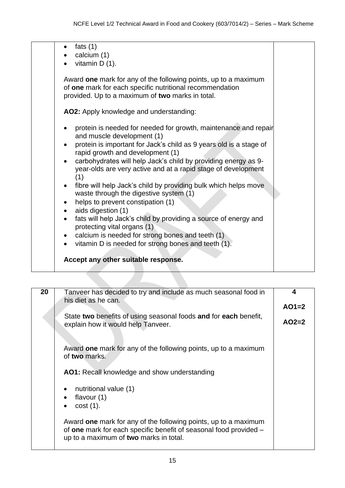| vitamin $D(1)$ .                                                                                                                                                                                                                                                                                                                                                                                                                                                                                                                                                                                                                                                                                                                                                              |  |
|-------------------------------------------------------------------------------------------------------------------------------------------------------------------------------------------------------------------------------------------------------------------------------------------------------------------------------------------------------------------------------------------------------------------------------------------------------------------------------------------------------------------------------------------------------------------------------------------------------------------------------------------------------------------------------------------------------------------------------------------------------------------------------|--|
| Award one mark for any of the following points, up to a maximum<br>of one mark for each specific nutritional recommendation<br>provided. Up to a maximum of two marks in total.                                                                                                                                                                                                                                                                                                                                                                                                                                                                                                                                                                                               |  |
| AO2: Apply knowledge and understanding:                                                                                                                                                                                                                                                                                                                                                                                                                                                                                                                                                                                                                                                                                                                                       |  |
| protein is needed for needed for growth, maintenance and repair<br>and muscle development (1)<br>protein is important for Jack's child as 9 years old is a stage of<br>rapid growth and development (1)<br>carbohydrates will help Jack's child by providing energy as 9-<br>year-olds are very active and at a rapid stage of development<br>(1)<br>fibre will help Jack's child by providing bulk which helps move<br>waste through the digestive system (1)<br>helps to prevent constipation (1)<br>aids digestion (1)<br>fats will help Jack's child by providing a source of energy and<br>protecting vital organs (1)<br>calcium is needed for strong bones and teeth (1)<br>vitamin D is needed for strong bones and teeth (1).<br>Accept any other suitable response. |  |

| 20 | Tanveer has decided to try and include as much seasonal food in                                                                                                                | 4       |
|----|--------------------------------------------------------------------------------------------------------------------------------------------------------------------------------|---------|
|    | his diet as he can.                                                                                                                                                            | $AO1=2$ |
|    | State two benefits of using seasonal foods and for each benefit,                                                                                                               |         |
|    | explain how it would help Tanveer.                                                                                                                                             | $AO2=2$ |
|    |                                                                                                                                                                                |         |
|    | Award one mark for any of the following points, up to a maximum<br>of two marks.                                                                                               |         |
|    | AO1: Recall knowledge and show understanding                                                                                                                                   |         |
|    |                                                                                                                                                                                |         |
|    | nutritional value (1)                                                                                                                                                          |         |
|    | flavour $(1)$                                                                                                                                                                  |         |
|    | $cost(1)$ .                                                                                                                                                                    |         |
|    | Award one mark for any of the following points, up to a maximum<br>of one mark for each specific benefit of seasonal food provided -<br>up to a maximum of two marks in total. |         |
|    |                                                                                                                                                                                |         |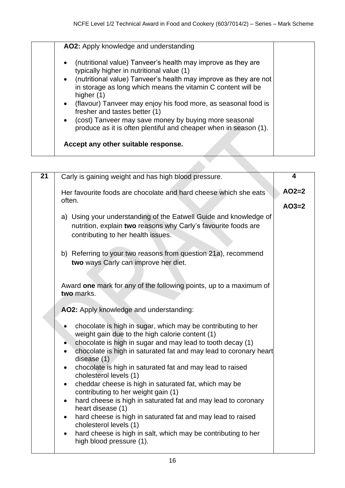| $\bullet$ | (nutritional value) Tanveer's health may improve as they are                                                                                   |
|-----------|------------------------------------------------------------------------------------------------------------------------------------------------|
|           | typically higher in nutritional value (1)                                                                                                      |
| $\bullet$ | (nutritional value) Tanveer's health may improve as they are not<br>in storage as long which means the vitamin C content will be<br>higher (1) |
| $\bullet$ | (flavour) Tanveer may enjoy his food more, as seasonal food is<br>fresher and tastes better (1)                                                |
| $\bullet$ | (cost) Tanveer may save money by buying more seasonal<br>produce as it is often plentiful and cheaper when in season (1).                      |

| $\overline{21}$ | Carly is gaining weight and has high blood pressure.                                                                                                                      | 4       |
|-----------------|---------------------------------------------------------------------------------------------------------------------------------------------------------------------------|---------|
|                 | Her favourite foods are chocolate and hard cheese which she eats<br>often.                                                                                                | $AO2=2$ |
|                 |                                                                                                                                                                           | $AO3=2$ |
|                 | a) Using your understanding of the Eatwell Guide and knowledge of<br>nutrition, explain two reasons why Carly's favourite foods are<br>contributing to her health issues. |         |
|                 | b) Referring to your two reasons from question 21a), recommend<br>two ways Carly can improve her diet.                                                                    |         |
|                 | Award one mark for any of the following points, up to a maximum of<br>two marks.                                                                                          |         |
|                 | AO2: Apply knowledge and understanding:                                                                                                                                   |         |
|                 | chocolate is high in sugar, which may be contributing to her<br>weight gain due to the high calorie content (1)                                                           |         |
|                 | chocolate is high in sugar and may lead to tooth decay (1)                                                                                                                |         |
|                 | chocolate is high in saturated fat and may lead to coronary heart<br>$\bullet$<br>disease (1)                                                                             |         |
|                 | chocolate is high in saturated fat and may lead to raised<br>$\bullet$<br>cholesterol levels (1)                                                                          |         |
|                 | cheddar cheese is high in saturated fat, which may be<br>$\bullet$<br>contributing to her weight gain (1)                                                                 |         |
|                 | hard cheese is high in saturated fat and may lead to coronary<br>$\bullet$<br>heart disease (1)                                                                           |         |
|                 | hard cheese is high in saturated fat and may lead to raised<br>$\bullet$<br>cholesterol levels (1)                                                                        |         |
|                 | hard cheese is high in salt, which may be contributing to her<br>$\bullet$<br>high blood pressure (1).                                                                    |         |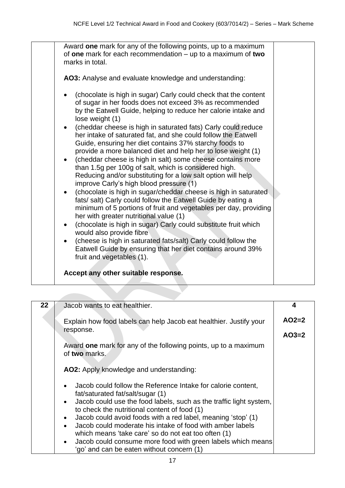|           | AO3: Analyse and evaluate knowledge and understanding:                                                                                       |  |
|-----------|----------------------------------------------------------------------------------------------------------------------------------------------|--|
|           |                                                                                                                                              |  |
|           | (chocolate is high in sugar) Carly could check that the content                                                                              |  |
|           | of sugar in her foods does not exceed 3% as recommended<br>by the Eatwell Guide, helping to reduce her calorie intake and<br>lose weight (1) |  |
| $\bullet$ | (cheddar cheese is high in saturated fats) Carly could reduce                                                                                |  |
|           | her intake of saturated fat, and she could follow the Eatwell                                                                                |  |
|           | Guide, ensuring her diet contains 37% starchy foods to<br>provide a more balanced diet and help her to lose weight (1)                       |  |
| $\bullet$ | (cheddar cheese is high in salt) some cheese contains more                                                                                   |  |
|           | than 1.5g per 100g of salt, which is considered high.                                                                                        |  |
|           | Reducing and/or substituting for a low salt option will help                                                                                 |  |
|           | improve Carly's high blood pressure (1)<br>(chocolate is high in sugar/cheddar cheese is high in saturated                                   |  |
|           | fats/ salt) Carly could follow the Eatwell Guide by eating a                                                                                 |  |
|           | minimum of 5 portions of fruit and vegetables per day, providing                                                                             |  |
|           | her with greater nutritional value (1)                                                                                                       |  |
| $\bullet$ | (chocolate is high in sugar) Carly could substitute fruit which<br>would also provide fibre                                                  |  |
|           | (cheese is high in saturated fats/salt) Carly could follow the                                                                               |  |
|           | Eatwell Guide by ensuring that her diet contains around 39%                                                                                  |  |
|           | fruit and vegetables (1).                                                                                                                    |  |
|           | Accept any other suitable response.                                                                                                          |  |

| 22 | Jacob wants to eat healthier.                                                                                                                                   | 4       |
|----|-----------------------------------------------------------------------------------------------------------------------------------------------------------------|---------|
|    | Explain how food labels can help Jacob eat healthier. Justify your                                                                                              | $AO2=2$ |
|    | response.                                                                                                                                                       | $AO3=2$ |
|    | Award one mark for any of the following points, up to a maximum<br>of two marks.                                                                                |         |
|    | AO2: Apply knowledge and understanding:                                                                                                                         |         |
|    | Jacob could follow the Reference Intake for calorie content,<br>fat/saturated fat/salt/sugar (1)                                                                |         |
|    | Jacob could use the food labels, such as the traffic light system,<br>to check the nutritional content of food (1)                                              |         |
|    | Jacob could avoid foods with a red label, meaning 'stop' (1)                                                                                                    |         |
|    | Jacob could moderate his intake of food with amber labels                                                                                                       |         |
|    | which means 'take care' so do not eat too often (1)<br>Jacob could consume more food with green labels which means<br>'go' and can be eaten without concern (1) |         |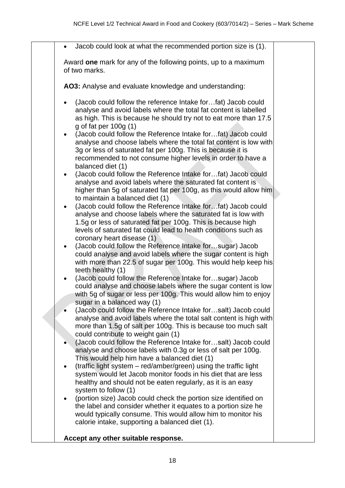| Jacob could look at what the recommended portion size is (1).<br>$\bullet$<br>Award one mark for any of the following points, up to a maximum<br>of two marks.<br>AO3: Analyse and evaluate knowledge and understanding:<br>(Jacob could follow the reference Intake forfat) Jacob could<br>analyse and avoid labels where the total fat content is labelled<br>as high. This is because he should try not to eat more than 17.5                                                                                                                                                                                                                                                                                                                                                                                                                                                                                                                                                                                                                                                                                                                                                                                                                                                                                                                                                                                                                                                                                                                                                                                                                                                                                                                                                                                                                                                                                                                                                                                                      |
|---------------------------------------------------------------------------------------------------------------------------------------------------------------------------------------------------------------------------------------------------------------------------------------------------------------------------------------------------------------------------------------------------------------------------------------------------------------------------------------------------------------------------------------------------------------------------------------------------------------------------------------------------------------------------------------------------------------------------------------------------------------------------------------------------------------------------------------------------------------------------------------------------------------------------------------------------------------------------------------------------------------------------------------------------------------------------------------------------------------------------------------------------------------------------------------------------------------------------------------------------------------------------------------------------------------------------------------------------------------------------------------------------------------------------------------------------------------------------------------------------------------------------------------------------------------------------------------------------------------------------------------------------------------------------------------------------------------------------------------------------------------------------------------------------------------------------------------------------------------------------------------------------------------------------------------------------------------------------------------------------------------------------------------|
|                                                                                                                                                                                                                                                                                                                                                                                                                                                                                                                                                                                                                                                                                                                                                                                                                                                                                                                                                                                                                                                                                                                                                                                                                                                                                                                                                                                                                                                                                                                                                                                                                                                                                                                                                                                                                                                                                                                                                                                                                                       |
|                                                                                                                                                                                                                                                                                                                                                                                                                                                                                                                                                                                                                                                                                                                                                                                                                                                                                                                                                                                                                                                                                                                                                                                                                                                                                                                                                                                                                                                                                                                                                                                                                                                                                                                                                                                                                                                                                                                                                                                                                                       |
|                                                                                                                                                                                                                                                                                                                                                                                                                                                                                                                                                                                                                                                                                                                                                                                                                                                                                                                                                                                                                                                                                                                                                                                                                                                                                                                                                                                                                                                                                                                                                                                                                                                                                                                                                                                                                                                                                                                                                                                                                                       |
| $g$ of fat per 100 $g$ (1)<br>(Jacob could follow the Reference Intake forfat) Jacob could<br>$\bullet$<br>analyse and choose labels where the total fat content is low with<br>3g or less of saturated fat per 100g. This is because it is<br>recommended to not consume higher levels in order to have a<br>balanced diet (1)<br>(Jacob could follow the Reference Intake forfat) Jacob could<br>analyse and avoid labels where the saturated fat content is<br>higher than 5g of saturated fat per 100g, as this would allow him<br>to maintain a balanced diet (1)<br>(Jacob could follow the Reference Intake forfat) Jacob could<br>$\bullet$<br>analyse and choose labels where the saturated fat is low with<br>1.5g or less of saturated fat per 100g. This is because high<br>levels of saturated fat could lead to health conditions such as<br>coronary heart disease (1)<br>(Jacob could follow the Reference Intake forsugar) Jacob<br>$\bullet$<br>could analyse and avoid labels where the sugar content is high<br>with more than 22.5 of sugar per 100g. This would help keep his<br>teeth healthy (1)<br>(Jacob could follow the Reference Intake forsugar) Jacob<br>$\bullet$<br>could analyse and choose labels where the sugar content is low<br>with 5g of sugar or less per 100g. This would allow him to enjoy<br>sugar in a balanced way (1)<br>(Jacob could follow the Reference Intake forsalt) Jacob could<br>analyse and avoid labels where the total salt content is high with<br>more than 1.5g of salt per 100g. This is because too much salt<br>could contribute to weight gain (1)<br>(Jacob could follow the Reference Intake forsalt) Jacob could<br>analyse and choose labels with 0.3g or less of salt per 100g.<br>This would help him have a balanced diet (1)<br>(traffic light system - red/amber/green) using the traffic light<br>system would let Jacob monitor foods in his diet that are less<br>healthy and should not be eaten regularly, as it is an easy<br>system to follow (1) |
| (portion size) Jacob could check the portion size identified on<br>the label and consider whether it equates to a portion size he                                                                                                                                                                                                                                                                                                                                                                                                                                                                                                                                                                                                                                                                                                                                                                                                                                                                                                                                                                                                                                                                                                                                                                                                                                                                                                                                                                                                                                                                                                                                                                                                                                                                                                                                                                                                                                                                                                     |
| would typically consume. This would allow him to monitor his<br>calorie intake, supporting a balanced diet (1).                                                                                                                                                                                                                                                                                                                                                                                                                                                                                                                                                                                                                                                                                                                                                                                                                                                                                                                                                                                                                                                                                                                                                                                                                                                                                                                                                                                                                                                                                                                                                                                                                                                                                                                                                                                                                                                                                                                       |
| Accept any other suitable response.                                                                                                                                                                                                                                                                                                                                                                                                                                                                                                                                                                                                                                                                                                                                                                                                                                                                                                                                                                                                                                                                                                                                                                                                                                                                                                                                                                                                                                                                                                                                                                                                                                                                                                                                                                                                                                                                                                                                                                                                   |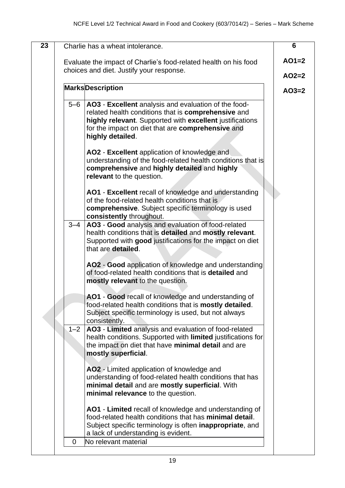| 23 |         | Charlie has a wheat intolerance.                                                                                                                                                                                                                                                                                                                                                                                                                    | 6       |
|----|---------|-----------------------------------------------------------------------------------------------------------------------------------------------------------------------------------------------------------------------------------------------------------------------------------------------------------------------------------------------------------------------------------------------------------------------------------------------------|---------|
|    |         | Evaluate the impact of Charlie's food-related health on his food<br>choices and diet. Justify your response.                                                                                                                                                                                                                                                                                                                                        | $AO1=2$ |
|    |         |                                                                                                                                                                                                                                                                                                                                                                                                                                                     | $AO2=2$ |
|    |         | <b>MarksDescription</b>                                                                                                                                                                                                                                                                                                                                                                                                                             | $AO3=2$ |
|    | $5-6$   | <b>AO3</b> - Excellent analysis and evaluation of the food-<br>related health conditions that is comprehensive and<br>highly relevant. Supported with excellent justifications<br>for the impact on diet that are comprehensive and<br>highly detailed.<br>AO2 - Excellent application of knowledge and<br>understanding of the food-related health conditions that is<br>comprehensive and highly detailed and highly<br>relevant to the question. |         |
|    |         | AO1 - Excellent recall of knowledge and understanding<br>of the food-related health conditions that is<br>comprehensive. Subject specific terminology is used<br>consistently throughout.                                                                                                                                                                                                                                                           |         |
|    | $3 - 4$ | AO3 - Good analysis and evaluation of food-related<br>health conditions that is detailed and mostly relevant.<br>Supported with good justifications for the impact on diet<br>that are detailed.<br>AO2 - Good application of knowledge and understanding<br>of food-related health conditions that is detailed and<br>mostly relevant to the question.                                                                                             |         |
|    |         | AO1 - Good recall of knowledge and understanding of<br>food-related health conditions that is mostly detailed.<br>Subject specific terminology is used, but not always<br>consistently.                                                                                                                                                                                                                                                             |         |
|    | $1 - 2$ | AO3 - Limited analysis and evaluation of food-related<br>health conditions. Supported with limited justifications for<br>the impact on diet that have minimal detail and are<br>mostly superficial.                                                                                                                                                                                                                                                 |         |
|    |         | AO2 - Limited application of knowledge and<br>understanding of food-related health conditions that has<br>minimal detail and are mostly superficial. With<br>minimal relevance to the question.                                                                                                                                                                                                                                                     |         |
|    |         | AO1 - Limited recall of knowledge and understanding of<br>food-related health conditions that has minimal detail.<br>Subject specific terminology is often inappropriate, and<br>a lack of understanding is evident.                                                                                                                                                                                                                                |         |
|    | 0       | No relevant material                                                                                                                                                                                                                                                                                                                                                                                                                                |         |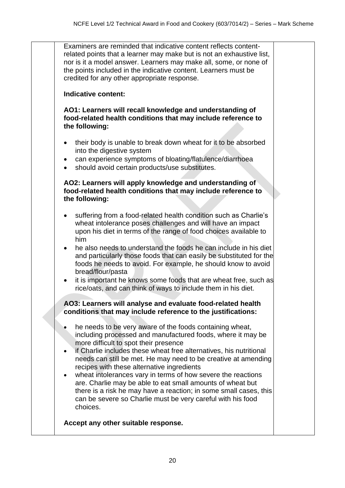Examiners are reminded that indicative content reflects contentrelated points that a learner may make but is not an exhaustive list, nor is it a model answer. Learners may make all, some, or none of the points included in the indicative content. Learners must be credited for any other appropriate response.

### **Indicative content:**

**AO1: Learners will recall knowledge and understanding of food-related health conditions that may include reference to the following:**

- their body is unable to break down wheat for it to be absorbed into the digestive system
- can experience symptoms of bloating/flatulence/diarrhoea
- should avoid certain products/use substitutes.

**AO2: Learners will apply knowledge and understanding of food-related health conditions that may include reference to the following:**

- suffering from a food-related health condition such as Charlie's wheat intolerance poses challenges and will have an impact upon his diet in terms of the range of food choices available to him
- he also needs to understand the foods he can include in his diet and particularly those foods that can easily be substituted for the foods he needs to avoid. For example, he should know to avoid bread/flour/pasta
- it is important he knows some foods that are wheat free, such as rice/oats, and can think of ways to include them in his diet.

## **AO3: Learners will analyse and evaluate food-related health conditions that may include reference to the justifications:**

- he needs to be very aware of the foods containing wheat. including processed and manufactured foods, where it may be more difficult to spot their presence
- if Charlie includes these wheat free alternatives, his nutritional needs can still be met. He may need to be creative at amending recipes with these alternative ingredients
- wheat intolerances vary in terms of how severe the reactions are. Charlie may be able to eat small amounts of wheat but there is a risk he may have a reaction; in some small cases, this can be severe so Charlie must be very careful with his food choices.

**Accept any other suitable response.**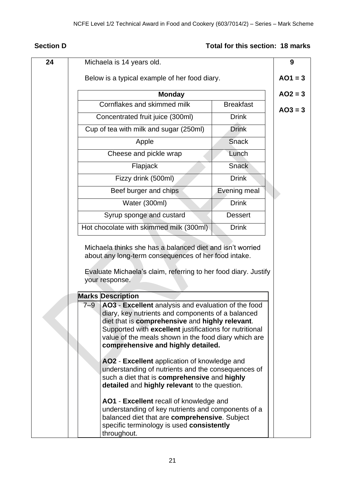# **Section D** Total for this section: 18 marks

| 24 | Michaela is 14 years old.                                                                                                                                                                                                                                                                                                                                                                                                                                                                                                                                                                                                                                                                                                                            | 9         |
|----|------------------------------------------------------------------------------------------------------------------------------------------------------------------------------------------------------------------------------------------------------------------------------------------------------------------------------------------------------------------------------------------------------------------------------------------------------------------------------------------------------------------------------------------------------------------------------------------------------------------------------------------------------------------------------------------------------------------------------------------------------|-----------|
|    | Below is a typical example of her food diary.                                                                                                                                                                                                                                                                                                                                                                                                                                                                                                                                                                                                                                                                                                        | $AO1 = 3$ |
|    | <b>Monday</b>                                                                                                                                                                                                                                                                                                                                                                                                                                                                                                                                                                                                                                                                                                                                        | $AO2 = 3$ |
|    | Cornflakes and skimmed milk<br><b>Breakfast</b>                                                                                                                                                                                                                                                                                                                                                                                                                                                                                                                                                                                                                                                                                                      | $AO3 = 3$ |
|    | <b>Drink</b><br>Concentrated fruit juice (300ml)                                                                                                                                                                                                                                                                                                                                                                                                                                                                                                                                                                                                                                                                                                     |           |
|    | Cup of tea with milk and sugar (250ml)<br><b>Drink</b>                                                                                                                                                                                                                                                                                                                                                                                                                                                                                                                                                                                                                                                                                               |           |
|    | <b>Snack</b><br>Apple                                                                                                                                                                                                                                                                                                                                                                                                                                                                                                                                                                                                                                                                                                                                |           |
|    | Cheese and pickle wrap<br>Lunch                                                                                                                                                                                                                                                                                                                                                                                                                                                                                                                                                                                                                                                                                                                      |           |
|    | <b>Snack</b><br>Flapjack                                                                                                                                                                                                                                                                                                                                                                                                                                                                                                                                                                                                                                                                                                                             |           |
|    | <b>Drink</b><br>Fizzy drink (500ml)                                                                                                                                                                                                                                                                                                                                                                                                                                                                                                                                                                                                                                                                                                                  |           |
|    | <b>Evening meal</b><br>Beef burger and chips                                                                                                                                                                                                                                                                                                                                                                                                                                                                                                                                                                                                                                                                                                         |           |
|    | <b>Drink</b><br>Water (300ml)                                                                                                                                                                                                                                                                                                                                                                                                                                                                                                                                                                                                                                                                                                                        |           |
|    | Syrup sponge and custard<br><b>Dessert</b>                                                                                                                                                                                                                                                                                                                                                                                                                                                                                                                                                                                                                                                                                                           |           |
|    | <b>Drink</b><br>Hot chocolate with skimmed milk (300ml)                                                                                                                                                                                                                                                                                                                                                                                                                                                                                                                                                                                                                                                                                              |           |
|    | Michaela thinks she has a balanced diet and isn't worried<br>about any long-term consequences of her food intake.<br>Evaluate Michaela's claim, referring to her food diary. Justify<br>your response.                                                                                                                                                                                                                                                                                                                                                                                                                                                                                                                                               |           |
|    | <b>Marks Description</b>                                                                                                                                                                                                                                                                                                                                                                                                                                                                                                                                                                                                                                                                                                                             |           |
|    | AO3 - Excellent analysis and evaluation of the food<br>$7 - 9$<br>diary, key nutrients and components of a balanced<br>diet that is comprehensive and highly relevant.<br>Supported with excellent justifications for nutritional<br>value of the meals shown in the food diary which are<br>comprehensive and highly detailed.<br>AO2 - Excellent application of knowledge and<br>understanding of nutrients and the consequences of<br>such a diet that is comprehensive and highly<br>detailed and highly relevant to the question.<br>AO1 - Excellent recall of knowledge and<br>understanding of key nutrients and components of a<br>balanced diet that are comprehensive. Subject<br>specific terminology is used consistently<br>throughout. |           |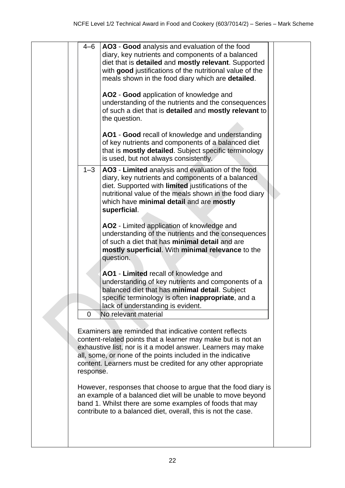|  | $4 - 6$     | AO3 - Good analysis and evaluation of the food<br>diary, key nutrients and components of a balanced<br>diet that is detailed and mostly relevant. Supported<br>with good justifications of the nutritional value of the<br>meals shown in the food diary which are detailed.<br>AO2 - Good application of knowledge and<br>understanding of the nutrients and the consequences<br>of such a diet that is detailed and mostly relevant to<br>the question.<br>AO1 - Good recall of knowledge and understanding<br>of key nutrients and components of a balanced diet<br>that is mostly detailed. Subject specific terminology<br>is used, but not always consistently. |  |
|--|-------------|-----------------------------------------------------------------------------------------------------------------------------------------------------------------------------------------------------------------------------------------------------------------------------------------------------------------------------------------------------------------------------------------------------------------------------------------------------------------------------------------------------------------------------------------------------------------------------------------------------------------------------------------------------------------------|--|
|  | $1 - 3$     | AO3 - Limited analysis and evaluation of the food<br>diary, key nutrients and components of a balanced<br>diet. Supported with limited justifications of the<br>nutritional value of the meals shown in the food diary<br>which have minimal detail and are mostly<br>superficial.                                                                                                                                                                                                                                                                                                                                                                                    |  |
|  |             | AO2 - Limited application of knowledge and<br>understanding of the nutrients and the consequences<br>of such a diet that has minimal detail and are<br>mostly superficial. With minimal relevance to the<br>question.                                                                                                                                                                                                                                                                                                                                                                                                                                                 |  |
|  | $\mathbf 0$ | AO1 - Limited recall of knowledge and<br>understanding of key nutrients and components of a<br>balanced diet that has minimal detail. Subject<br>specific terminology is often inappropriate, and a<br>lack of understanding is evident.<br>No relevant material                                                                                                                                                                                                                                                                                                                                                                                                      |  |
|  | response.   | Examiners are reminded that indicative content reflects<br>content-related points that a learner may make but is not an<br>exhaustive list, nor is it a model answer. Learners may make<br>all, some, or none of the points included in the indicative<br>content. Learners must be credited for any other appropriate                                                                                                                                                                                                                                                                                                                                                |  |
|  |             | However, responses that choose to argue that the food diary is<br>an example of a balanced diet will be unable to move beyond<br>band 1. Whilst there are some examples of foods that may<br>contribute to a balanced diet, overall, this is not the case.                                                                                                                                                                                                                                                                                                                                                                                                            |  |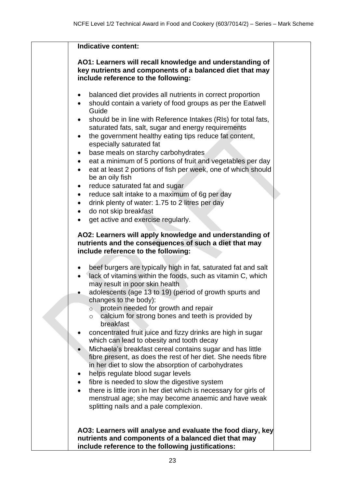| Indicative content:                                                                                                                                                                                                                                                                                                                                                                                                                                                                                                                                                                                                                                                                                                                                                                                                                                                                                                                                               |  |
|-------------------------------------------------------------------------------------------------------------------------------------------------------------------------------------------------------------------------------------------------------------------------------------------------------------------------------------------------------------------------------------------------------------------------------------------------------------------------------------------------------------------------------------------------------------------------------------------------------------------------------------------------------------------------------------------------------------------------------------------------------------------------------------------------------------------------------------------------------------------------------------------------------------------------------------------------------------------|--|
| AO1: Learners will recall knowledge and understanding of<br>key nutrients and components of a balanced diet that may<br>include reference to the following:                                                                                                                                                                                                                                                                                                                                                                                                                                                                                                                                                                                                                                                                                                                                                                                                       |  |
| balanced diet provides all nutrients in correct proportion<br>should contain a variety of food groups as per the Eatwell<br>$\bullet$<br>Guide<br>should be in line with Reference Intakes (RIs) for total fats,<br>saturated fats, salt, sugar and energy requirements<br>the government healthy eating tips reduce fat content,<br>$\bullet$<br>especially saturated fat<br>base meals on starchy carbohydrates<br>$\bullet$<br>eat a minimum of 5 portions of fruit and vegetables per day<br>eat at least 2 portions of fish per week, one of which should<br>$\bullet$<br>be an oily fish<br>reduce saturated fat and sugar<br>$\bullet$<br>reduce salt intake to a maximum of 6g per day<br>$\bullet$<br>drink plenty of water: 1.75 to 2 litres per day<br>do not skip breakfast<br>get active and exercise regularly.                                                                                                                                     |  |
| AO2: Learners will apply knowledge and understanding of<br>nutrients and the consequences of such a diet that may<br>include reference to the following:                                                                                                                                                                                                                                                                                                                                                                                                                                                                                                                                                                                                                                                                                                                                                                                                          |  |
| beef burgers are typically high in fat, saturated fat and salt<br>$\bullet$<br>lack of vitamins within the foods, such as vitamin C, which<br>may result in poor skin health<br>adolescents (age 13 to 19) (period of growth spurts and<br>changes to the body):<br>protein needed for growth and repair<br>$\overline{O}$<br>calcium for strong bones and teeth is provided by<br>$\circ$<br>breakfast<br>concentrated fruit juice and fizzy drinks are high in sugar<br>which can lead to obesity and tooth decay<br>Michaela's breakfast cereal contains sugar and has little<br>fibre present, as does the rest of her diet. She needs fibre<br>in her diet to slow the absorption of carbohydrates<br>helps regulate blood sugar levels<br>fibre is needed to slow the digestive system<br>there is little iron in her diet which is necessary for girls of<br>menstrual age; she may become anaemic and have weak<br>splitting nails and a pale complexion. |  |
| AO3: Learners will analyse and evaluate the food diary, key<br>nutrients and components of a balanced diet that may<br>include reference to the following justifications:                                                                                                                                                                                                                                                                                                                                                                                                                                                                                                                                                                                                                                                                                                                                                                                         |  |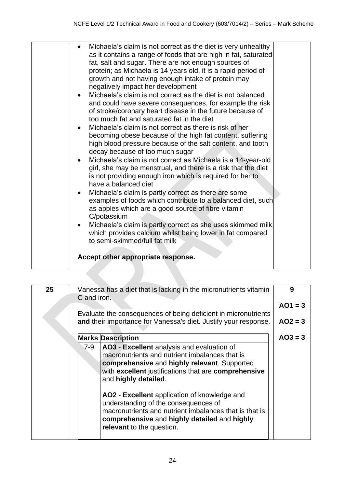| Michaela's claim is not correct as the diet is very unhealthy<br>as it contains a range of foods that are high in fat, saturated<br>fat, salt and sugar. There are not enough sources of<br>protein; as Michaela is 14 years old, it is a rapid period of<br>growth and not having enough intake of protein may<br>negatively impact her development<br>Michaela's claim is not correct as the diet is not balanced<br>and could have severe consequences, for example the risk<br>of stroke/coronary heart disease in the future because of<br>too much fat and saturated fat in the diet<br>Michaela's claim is not correct as there is risk of her<br>becoming obese because of the high fat content, suffering<br>high blood pressure because of the salt content, and tooth<br>decay because of too much sugar<br>Michaela's claim is not correct as Michaela is a 14-year-old<br>girl, she may be menstrual, and there is a risk that the diet<br>is not providing enough iron which is required for her to<br>have a balanced diet<br>Michaela's claim is partly correct as there are some<br>examples of foods which contribute to a balanced diet, such<br>as apples which are a good source of fibre vitamin<br>C/potassium<br>Michaela's claim is partly correct as she uses skimmed milk<br>which provides calcium whilst being lower in fat compared<br>to semi-skimmed/full fat milk<br>Accept other appropriate response. |
|------------------------------------------------------------------------------------------------------------------------------------------------------------------------------------------------------------------------------------------------------------------------------------------------------------------------------------------------------------------------------------------------------------------------------------------------------------------------------------------------------------------------------------------------------------------------------------------------------------------------------------------------------------------------------------------------------------------------------------------------------------------------------------------------------------------------------------------------------------------------------------------------------------------------------------------------------------------------------------------------------------------------------------------------------------------------------------------------------------------------------------------------------------------------------------------------------------------------------------------------------------------------------------------------------------------------------------------------------------------------------------------------------------------------------------------|
|                                                                                                                                                                                                                                                                                                                                                                                                                                                                                                                                                                                                                                                                                                                                                                                                                                                                                                                                                                                                                                                                                                                                                                                                                                                                                                                                                                                                                                          |

| 25 | C and iron.                                              | Vanessa has a diet that is lacking in the micronutrients vitamin                                                                                                                                                                                                                                                                                                                                       | 9         |
|----|----------------------------------------------------------|--------------------------------------------------------------------------------------------------------------------------------------------------------------------------------------------------------------------------------------------------------------------------------------------------------------------------------------------------------------------------------------------------------|-----------|
|    |                                                          |                                                                                                                                                                                                                                                                                                                                                                                                        | $AO1 = 3$ |
|    |                                                          | Evaluate the consequences of being deficient in micronutrients                                                                                                                                                                                                                                                                                                                                         |           |
|    |                                                          | and their importance for Vanessa's diet. Justify your response.                                                                                                                                                                                                                                                                                                                                        | $AO2 = 3$ |
|    | <b>Marks Description</b>                                 |                                                                                                                                                                                                                                                                                                                                                                                                        | $AO3 = 3$ |
|    | 7-9<br>and highly detailed.<br>relevant to the question. | AO3 - Excellent analysis and evaluation of<br>macronutrients and nutrient imbalances that is<br>comprehensive and highly relevant. Supported<br>with excellent justifications that are comprehensive<br>AO2 - Excellent application of knowledge and<br>understanding of the consequences of<br>macronutrients and nutrient imbalances that is that is<br>comprehensive and highly detailed and highly |           |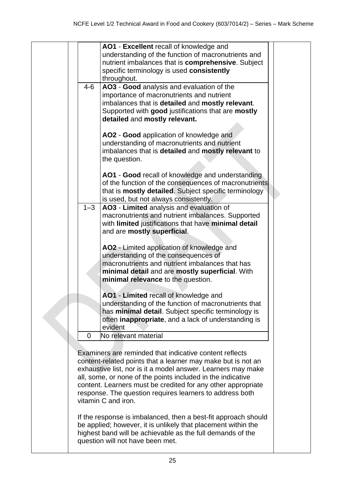|         | AO1 - Excellent recall of knowledge and                        |  |
|---------|----------------------------------------------------------------|--|
|         | understanding of the function of macronutrients and            |  |
|         | nutrient imbalances that is comprehensive. Subject             |  |
|         | specific terminology is used consistently                      |  |
|         |                                                                |  |
|         | throughout.                                                    |  |
| $4 - 6$ | AO3 - Good analysis and evaluation of the                      |  |
|         | importance of macronutrients and nutrient                      |  |
|         | imbalances that is detailed and mostly relevant.               |  |
|         | Supported with good justifications that are mostly             |  |
|         | detailed and mostly relevant.                                  |  |
|         |                                                                |  |
|         | AO2 - Good application of knowledge and                        |  |
|         | understanding of macronutrients and nutrient                   |  |
|         | imbalances that is detailed and mostly relevant to             |  |
|         |                                                                |  |
|         | the question.                                                  |  |
|         |                                                                |  |
|         | AO1 - Good recall of knowledge and understanding               |  |
|         | of the function of the consequences of macronutrients          |  |
|         | that is <b>mostly detailed</b> . Subject specific terminology  |  |
|         | is used, but not always consistently.                          |  |
| $1 - 3$ | AO3 - Limited analysis and evaluation of                       |  |
|         | macronutrients and nutrient imbalances. Supported              |  |
|         | with limited justifications that have minimal detail           |  |
|         | and are mostly superficial.                                    |  |
|         |                                                                |  |
|         | AO2 - Limited application of knowledge and                     |  |
|         | understanding of the consequences of                           |  |
|         | macronutrients and nutrient imbalances that has                |  |
|         |                                                                |  |
|         | minimal detail and are mostly superficial. With                |  |
|         | minimal relevance to the question.                             |  |
|         |                                                                |  |
|         | AO1 - Limited recall of knowledge and                          |  |
|         | understanding of the function of macronutrients that           |  |
|         | has minimal detail. Subject specific terminology is            |  |
|         | often inappropriate, and a lack of understanding is            |  |
|         | evident                                                        |  |
| 0       | No relevant material                                           |  |
|         |                                                                |  |
|         | Examiners are reminded that indicative content reflects        |  |
|         | content-related points that a learner may make but is not an   |  |
|         | exhaustive list, nor is it a model answer. Learners may make   |  |
|         | all, some, or none of the points included in the indicative    |  |
|         | content. Learners must be credited for any other appropriate   |  |
|         | response. The question requires learners to address both       |  |
|         | vitamin C and iron.                                            |  |
|         |                                                                |  |
|         |                                                                |  |
|         | If the response is imbalanced, then a best-fit approach should |  |
|         | be applied; however, it is unlikely that placement within the  |  |
|         | highest band will be achievable as the full demands of the     |  |

question will not have been met.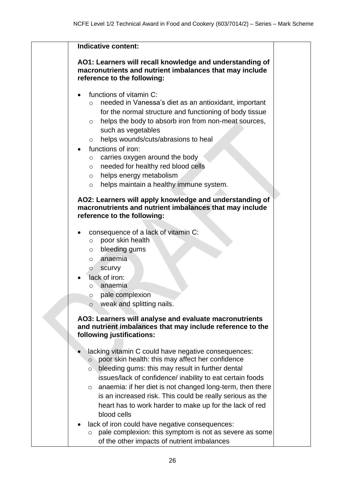| <b>Indicative content:</b>                                                                                                                                                                                                                                                                                                                                                                                                                                                                                                                                                                                                       |
|----------------------------------------------------------------------------------------------------------------------------------------------------------------------------------------------------------------------------------------------------------------------------------------------------------------------------------------------------------------------------------------------------------------------------------------------------------------------------------------------------------------------------------------------------------------------------------------------------------------------------------|
| AO1: Learners will recall knowledge and understanding of<br>macronutrients and nutrient imbalances that may include<br>reference to the following:                                                                                                                                                                                                                                                                                                                                                                                                                                                                               |
| functions of vitamin C:<br>needed in Vanessa's diet as an antioxidant, important<br>$\circ$<br>for the normal structure and functioning of body tissue<br>helps the body to absorb iron from non-meat sources,<br>$\circ$<br>such as vegetables<br>helps wounds/cuts/abrasions to heal<br>$\circ$<br>functions of iron:<br>carries oxygen around the body<br>$\circ$<br>needed for healthy red blood cells<br>$\circ$<br>helps energy metabolism<br>$\circ$<br>helps maintain a healthy immune system.<br>$\circ$                                                                                                                |
| AO2: Learners will apply knowledge and understanding of<br>macronutrients and nutrient imbalances that may include<br>reference to the following:                                                                                                                                                                                                                                                                                                                                                                                                                                                                                |
| consequence of a lack of vitamin C:<br>poor skin health<br>O<br>bleeding gums<br>$\circ$<br>anaemia<br>$\circ$<br>scurvy<br>$\circ$<br>lack of iron:<br>anaemia<br>O<br>pale complexion<br>$\circ$<br>weak and splitting nails.<br>$\circ$<br>AO3: Learners will analyse and evaluate macronutrients<br>and nutrient imbalances that may include reference to the<br>following justifications:                                                                                                                                                                                                                                   |
| lacking vitamin C could have negative consequences:<br>poor skin health: this may affect her confidence<br>$\circ$<br>$\circ$ bleeding gums: this may result in further dental<br>issues/lack of confidence/ inability to eat certain foods<br>anaemia: if her diet is not changed long-term, then there<br>$\circ$<br>is an increased risk. This could be really serious as the<br>heart has to work harder to make up for the lack of red<br>blood cells<br>lack of iron could have negative consequences:<br>pale complexion: this symptom is not as severe as some<br>$\circ$<br>of the other impacts of nutrient imbalances |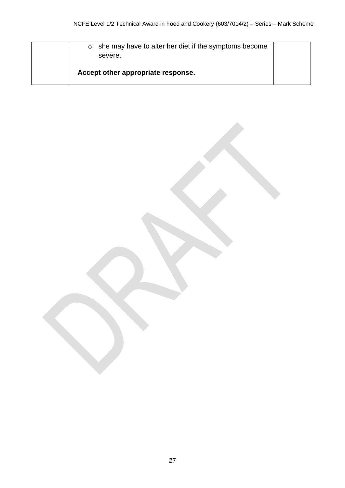o she may have to alter her diet if the symptoms become severe. **Accept other appropriate response.**